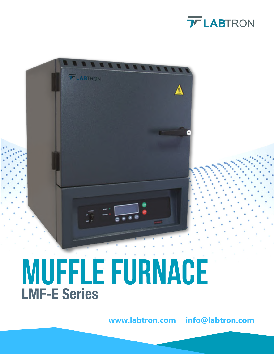



# Muffle Furnace LMF-E Series

**www.labtron.com info@labtron.com**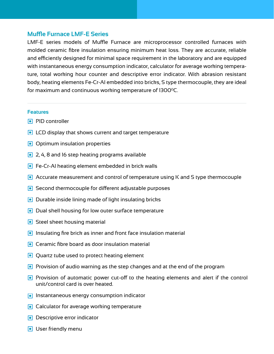# **Muffle Furnace LMF-E Series**

LMF-E series models of Muffle Furnace are microprocessor controlled furnaces with molded ceramic fibre insulation ensuring minimum heat loss. They are accurate, reliable and efficiently designed for minimal space requirement in the laboratory and are equipped with instantaneous energy consumption indicator, calculator for average working temperature, total working hour counter and descriptive error indicator. With abrasion resistant body, heating elements Fe-Cr-Al embedded into bricks, S type thermocouple, they are ideal for maximum and continuous working temperature of 1300°C.

#### **Features**

- **PID** controller
- **ID** LCD display that shows current and target temperature
- Optimum insulation properties
- **■** 2, 4, 8 and 16 step heating programs available
- **Fe-Cr-Al heating element embedded in brick walls**
- Accurate measurement and control of temperature using K and S type thermocouple
- Second thermocouple for different adjustable purposes
- **D** Durable inside lining made of light insulating bricks
- **Dual shell housing for low outer surface temperature**
- **•** Steel sheet housing material
- Insulating fire brick as inner and front face insulation material
- **O** Ceramic fibre board as door insulation material
- **Quartz tube used to protect heating element**
- **Provision of audio warning as the step changes and at the end of the program**
- **Provision of automatic power cut-off to the heating elements and alert if the control** unit/control card is over heated.
- $\boxed{\bullet}$  Instantaneous energy consumption indicator
- **Calculator for average working temperature**
- **Descriptive error indicator**
- **O** User friendly menu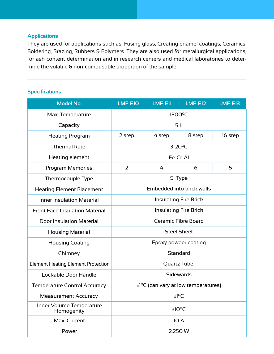## **Applications**

They are used for applications such as: Fusing glass, Creating enamel coatings, Ceramics, Soldering, Brazing, Rubbers & Polymers. They are also used for metallurgical applications, for ash content determination and in research centers and medical laboratories to determine the volatile & non-combustible proportion of the sample.

### **Specifications**

| <b>Model No.</b>                          | <b>LMF-E10</b>                                        | <b>LMF-E11</b> | <b>LMF-E12</b>            | LMF-E13 |
|-------------------------------------------|-------------------------------------------------------|----------------|---------------------------|---------|
| Max. Temperature                          |                                                       |                | 1300°C                    |         |
| Capacity                                  |                                                       |                | 5 <sub>L</sub>            |         |
| <b>Heating Program</b>                    | 2 step                                                | 4 step         | 8 step                    | 16 step |
| <b>Thermal Rate</b>                       |                                                       |                | $3-20$ <sup>o</sup> C     |         |
| Heating element                           |                                                       |                | Fe-Cr-Al                  |         |
| <b>Program Memories</b>                   | 2                                                     | 4              | 6                         | 5       |
| Thermocouple Type                         |                                                       |                | S Type                    |         |
| <b>Heating Element Placement</b>          |                                                       |                | Embedded into brick walls |         |
| <b>Inner Insulation Material</b>          | <b>Insulating Fire Brick</b>                          |                |                           |         |
| <b>Front Face Insulation Material</b>     | <b>Insulating Fire Brick</b>                          |                |                           |         |
| <b>Door Insulation Material</b>           | <b>Ceramic Fibre Board</b>                            |                |                           |         |
| <b>Housing Material</b>                   | <b>Steel Sheet</b>                                    |                |                           |         |
| <b>Housing Coating</b>                    | Epoxy powder coating                                  |                |                           |         |
| Chimney                                   | Standard                                              |                |                           |         |
| <b>Element Heating Element Protection</b> |                                                       |                | Quartz Tube               |         |
| Lockable Door Handle                      | <b>Sidewards</b>                                      |                |                           |         |
| <b>Temperature Control Accuracy</b>       | $\pm$ 1 <sup>o</sup> C (can vary at low temperatures) |                |                           |         |
| <b>Measurement Accuracy</b>               | ±1°C                                                  |                |                           |         |
| Inner Volume Temperature<br>Homogenity    |                                                       |                | $±10^{\circ}$ C           |         |
| Max. Current                              |                                                       |                | 10 A                      |         |
| Power                                     |                                                       |                | 2.250 W                   |         |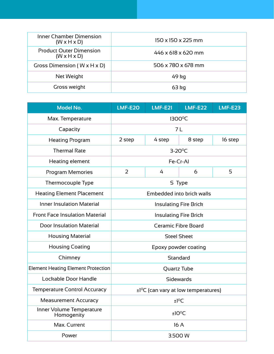| <b>Inner Chamber Dimension</b><br>$(W \times H \times D)$ | 150 x 150 x 225 mm |
|-----------------------------------------------------------|--------------------|
| <b>Product Outer Dimension</b><br>$(W \times H \times D)$ | 446 x 618 x 620 mm |
| Gross Dimension ( $W \times H \times D$ )                 | 506 x 780 x 678 mm |
| Net Weight                                                | 49 kg              |
| Gross weight                                              | $63$ kg            |

| <b>Model No.</b>                          | LMF-E20                                               | $LMF-E21$ | $LMF-E22$                 | <b>LMF-E23</b> |
|-------------------------------------------|-------------------------------------------------------|-----------|---------------------------|----------------|
| Max. Temperature                          | 1300°C                                                |           |                           |                |
| Capacity                                  | 7 <sub>L</sub>                                        |           |                           |                |
| <b>Heating Program</b>                    | 2 step                                                | 4 step    | 8 step                    | 16 step        |
| <b>Thermal Rate</b>                       |                                                       |           | $3-20$ <sup>o</sup> C     |                |
| Heating element                           |                                                       |           | Fe-Cr-Al                  |                |
| Program Memories                          | 2                                                     | 4         | 6                         | 5              |
| Thermocouple Type                         |                                                       |           | S Type                    |                |
| <b>Heating Element Placement</b>          |                                                       |           | Embedded into brick walls |                |
| <b>Inner Insulation Material</b>          | <b>Insulating Fire Brick</b>                          |           |                           |                |
| <b>Front Face Insulation Material</b>     | Insulating Fire Brick                                 |           |                           |                |
| <b>Door Insulation Material</b>           | <b>Ceramic Fibre Board</b>                            |           |                           |                |
| <b>Housing Material</b>                   | <b>Steel Sheet</b>                                    |           |                           |                |
| <b>Housing Coating</b>                    | Epoxy powder coating                                  |           |                           |                |
| Chimney                                   | Standard                                              |           |                           |                |
| <b>Element Heating Element Protection</b> | Quartz Tube                                           |           |                           |                |
| Lockable Door Handle                      | Sidewards                                             |           |                           |                |
| <b>Temperature Control Accuracy</b>       | $\pm$ 1 <sup>o</sup> C (can vary at low temperatures) |           |                           |                |
| <b>Measurement Accuracy</b>               | $±1^{\circ}C$                                         |           |                           |                |
| Inner Volume Temperature<br>Homogenity    | $±10^{\circ}$ C                                       |           |                           |                |
| Max. Current                              |                                                       |           | 16 A                      |                |
| Power                                     | 3.500 W                                               |           |                           |                |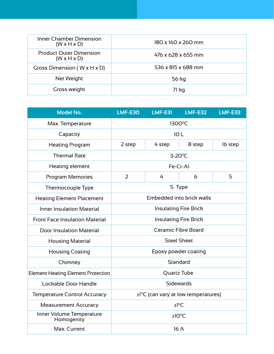| <b>Inner Chamber Dimension</b><br>$(W \times H \times D)$ | 180 x 160 x 260 mm |
|-----------------------------------------------------------|--------------------|
| <b>Product Outer Dimension</b><br>$(W \times H \times D)$ | 476 x 628 x 655 mm |
| Gross Dimension ( $W \times H \times D$ )                 | 536 x 815 x 688 mm |
| Net Weight                                                | 56 kg              |
| Gross weight                                              | 71 kg              |

| <b>Model No.</b>                          | $LMF-E3O$                                             | <b>LMF-E31</b>        | <b>LMF-E32</b>            | <b>LMF-E33</b> |
|-------------------------------------------|-------------------------------------------------------|-----------------------|---------------------------|----------------|
| Max. Temperature                          | 1300°C                                                |                       |                           |                |
| Capacity                                  |                                                       | 10L                   |                           |                |
| <b>Heating Program</b>                    | 2 step                                                | 4 step                | 8 step                    | 16 step        |
| <b>Thermal Rate</b>                       |                                                       | $3-20$ <sup>o</sup> C |                           |                |
| Heating element                           |                                                       |                       | Fe-Cr-AI                  |                |
| <b>Program Memories</b>                   | 2                                                     | 4                     | 6                         | 5              |
| Thermocouple Type                         |                                                       |                       | S Type                    |                |
| <b>Heating Element Placement</b>          |                                                       |                       | Embedded into brick walls |                |
| <b>Inner Insulation Material</b>          | <b>Insulating Fire Brick</b>                          |                       |                           |                |
| <b>Front Face Insulation Material</b>     | <b>Insulating Fire Brick</b>                          |                       |                           |                |
| <b>Door Insulation Material</b>           | <b>Ceramic Fibre Board</b>                            |                       |                           |                |
| <b>Housing Material</b>                   | <b>Steel Sheet</b>                                    |                       |                           |                |
| <b>Housing Coating</b>                    | Epoxy powder coating                                  |                       |                           |                |
| Chimney                                   |                                                       |                       | Standard                  |                |
| <b>Element Heating Element Protection</b> | Quartz Tube                                           |                       |                           |                |
| Lockable Door Handle                      | Sidewards                                             |                       |                           |                |
| <b>Temperature Control Accuracy</b>       | $\pm$ 1 <sup>o</sup> C (can vary at low temperatures) |                       |                           |                |
| <b>Measurement Accuracy</b>               |                                                       |                       | ±1°C                      |                |
| Inner Volume Temperature<br>Homogenity    | ±10°C                                                 |                       |                           |                |
| Max. Current                              |                                                       |                       | 16A                       |                |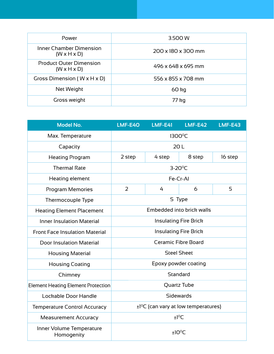| Power                                                     | 3.500 W            |
|-----------------------------------------------------------|--------------------|
| Inner Chamber Dimension<br>$(W \times H \times D)$        | 200 x 180 x 300 mm |
| <b>Product Outer Dimension</b><br>$(W \times H \times D)$ | 496 x 648 x 695 mm |
| Gross Dimension ( $W \times H \times D$ )                 | 556 x 855 x 708 mm |
| Net Weight                                                | $60$ kg            |
| Gross weight                                              | 77 kg              |

| <b>Model No.</b>                          | LMF-E40                                               | <b>LMF-E41</b> | <b>LMF-E42</b>            | $LMF-E43$ |
|-------------------------------------------|-------------------------------------------------------|----------------|---------------------------|-----------|
| Max. Temperature                          |                                                       |                | 1300°C                    |           |
| Capacity                                  |                                                       | 20L            |                           |           |
| <b>Heating Program</b>                    | 2 step                                                | 4 step         | 8 step                    | 16 step   |
| <b>Thermal Rate</b>                       |                                                       |                | $3-20$ <sup>o</sup> C     |           |
| Heating element                           |                                                       |                | Fe-Cr-Al                  |           |
| <b>Program Memories</b>                   | 2                                                     | 4              | 6                         | 5         |
| Thermocouple Type                         |                                                       |                | S Type                    |           |
| <b>Heating Element Placement</b>          |                                                       |                | Embedded into brick walls |           |
| <b>Inner Insulation Material</b>          | <b>Insulating Fire Brick</b>                          |                |                           |           |
| <b>Front Face Insulation Material</b>     | <b>Insulating Fire Brick</b>                          |                |                           |           |
| <b>Door Insulation Material</b>           | Ceramic Fibre Board                                   |                |                           |           |
| <b>Housing Material</b>                   | <b>Steel Sheet</b>                                    |                |                           |           |
| <b>Housing Coating</b>                    | Epoxy powder coating                                  |                |                           |           |
| Chimney                                   | Standard                                              |                |                           |           |
| <b>Element Heating Element Protection</b> | Quartz Tube                                           |                |                           |           |
| Lockable Door Handle                      | <b>Sidewards</b>                                      |                |                           |           |
| <b>Temperature Control Accuracy</b>       | $\pm$ 1 <sup>o</sup> C (can vary at low temperatures) |                |                           |           |
| <b>Measurement Accuracy</b>               |                                                       |                | $±1^{\circ}$ C            |           |
| Inner Volume Temperature<br>Homogenity    |                                                       |                | $±10^{\circ}$ C           |           |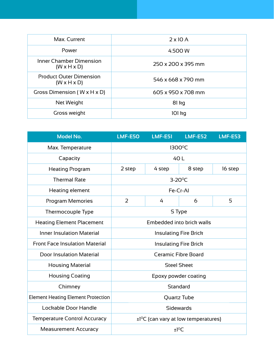| Max. Current                                              | $2 \times 10$ A    |
|-----------------------------------------------------------|--------------------|
| Power                                                     | 4.500 W            |
| Inner Chamber Dimension<br>$(W \times H \times D)$        | 250 x 200 x 395 mm |
| <b>Product Outer Dimension</b><br>$(W \times H \times D)$ | 546 x 668 x 790 mm |
| Gross Dimension ( $W \times H \times D$ )                 | 605 x 950 x 708 mm |
| Net Weight                                                | $81$ kg            |
| Gross weight                                              | 101 kg             |

| <b>Model No.</b>                          | <b>LMF-E50</b>               | <b>LMF-E51</b>                                        | <b>LMF-E52</b> | <b>LMF-E53</b> |
|-------------------------------------------|------------------------------|-------------------------------------------------------|----------------|----------------|
| Max. Temperature                          |                              | 1300°C                                                |                |                |
| Capacity                                  |                              | 40 L                                                  |                |                |
| <b>Heating Program</b>                    | 2 step                       | 4 step                                                | 8 step         | 16 step        |
| <b>Thermal Rate</b>                       |                              | 3-20°C                                                |                |                |
| Heating element                           |                              | Fe-Cr-Al                                              |                |                |
| <b>Program Memories</b>                   | 2                            | 4                                                     | 6              | 5              |
| <b>Thermocouple Type</b>                  |                              | S Type                                                |                |                |
| <b>Heating Element Placement</b>          | Embedded into brick walls    |                                                       |                |                |
| <b>Inner Insulation Material</b>          | <b>Insulating Fire Brick</b> |                                                       |                |                |
| <b>Front Face Insulation Material</b>     | <b>Insulating Fire Brick</b> |                                                       |                |                |
| <b>Door Insulation Material</b>           | <b>Ceramic Fibre Board</b>   |                                                       |                |                |
| <b>Housing Material</b>                   | <b>Steel Sheet</b>           |                                                       |                |                |
| <b>Housing Coating</b>                    | Epoxy powder coating         |                                                       |                |                |
| Chimney                                   | Standard                     |                                                       |                |                |
| <b>Element Heating Element Protection</b> | Quartz Tube                  |                                                       |                |                |
| Lockable Door Handle                      | <b>Sidewards</b>             |                                                       |                |                |
| <b>Temperature Control Accuracy</b>       |                              | $\pm$ 1 <sup>o</sup> C (can vary at low temperatures) |                |                |
| <b>Measurement Accuracy</b>               |                              | $±1^0C$                                               |                |                |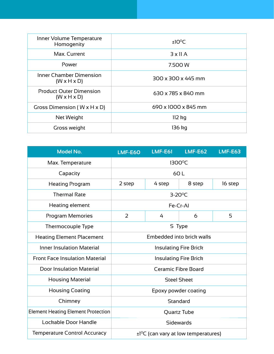| Inner Volume Temperature<br>Homogenity                    | $±10^{\circ}$ C     |
|-----------------------------------------------------------|---------------------|
| Max. Current                                              | $3 \times 11$ A     |
| Power                                                     | 7.500 W             |
| Inner Chamber Dimension<br>$(W \times H \times D)$        | 300 x 300 x 445 mm  |
| <b>Product Outer Dimension</b><br>$(W \times H \times D)$ | 630 x 785 x 840 mm  |
| Gross Dimension ( $W \times H \times D$ )                 | 690 x 1000 x 845 mm |
| Net Weight                                                | $112$ kg            |
| Gross weight                                              | 136 kg              |

| <b>Model No.</b>                          | <b>LMF-E60</b>                                        | <b>LMF-E61</b>        | <b>LMF-E62</b> | <b>LMF-E63</b> |
|-------------------------------------------|-------------------------------------------------------|-----------------------|----------------|----------------|
| Max. Temperature                          | 1300°C                                                |                       |                |                |
| Capacity                                  | 60L                                                   |                       |                |                |
| <b>Heating Program</b>                    | 2 step                                                | 4 step                | 8 step         | 16 step        |
| <b>Thermal Rate</b>                       |                                                       | $3-20$ <sup>o</sup> C |                |                |
| Heating element                           |                                                       | Fe-Cr-Al              |                |                |
| Program Memories                          | 2                                                     | 4                     | 6              | 5              |
| <b>Thermocouple Type</b>                  | S Type                                                |                       |                |                |
| <b>Heating Element Placement</b>          | Embedded into brick walls                             |                       |                |                |
| <b>Inner Insulation Material</b>          | <b>Insulating Fire Brick</b>                          |                       |                |                |
| <b>Front Face Insulation Material</b>     | <b>Insulating Fire Brick</b>                          |                       |                |                |
| <b>Door Insulation Material</b>           | Ceramic Fibre Board                                   |                       |                |                |
| <b>Housing Material</b>                   | <b>Steel Sheet</b>                                    |                       |                |                |
| <b>Housing Coating</b>                    | Epoxy powder coating                                  |                       |                |                |
| Chimney                                   | Standard                                              |                       |                |                |
| <b>Element Heating Element Protection</b> | Quartz Tube                                           |                       |                |                |
| Lockable Door Handle                      | <b>Sidewards</b>                                      |                       |                |                |
| <b>Temperature Control Accuracy</b>       | $\pm$ 1 <sup>o</sup> C (can vary at low temperatures) |                       |                |                |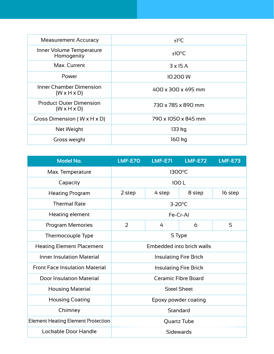| <b>Measurement Accuracy</b>                               | $±1^{\circ}C$       |
|-----------------------------------------------------------|---------------------|
| Inner Volume Temperature<br>Homogenity                    | ±10°C               |
| Max. Current                                              | $3 \times 15$ A     |
| Power                                                     | 10.200 W            |
| <b>Inner Chamber Dimension</b><br>$(W \times H \times D)$ | 400 x 300 x 495 mm  |
| <b>Product Outer Dimension</b><br>$(W \times H \times D)$ | 730 x 785 x 890 mm  |
| Gross Dimension ( $W \times H \times D$ )                 | 790 x 1050 x 845 mm |
| Net Weight                                                | 133 kg              |
| Gross weight                                              | 160 kg              |

| <b>Model No.</b>                          | LMF-E7O                      | $LMF-E71$ | $LMF-E72$ | <b>LMF-E73</b> |
|-------------------------------------------|------------------------------|-----------|-----------|----------------|
| Max. Temperature                          | 1300°C                       |           |           |                |
| Capacity                                  | 100L                         |           |           |                |
| <b>Heating Program</b>                    | 2 step                       | 4 step    | 8 step    | 16 step        |
| <b>Thermal Rate</b>                       | $3-20$ <sup>o</sup> C        |           |           |                |
| Heating element                           | Fe-Cr-Al                     |           |           |                |
| Program Memories                          | 2                            | 4         | 6         | 5              |
| Thermocouple Type                         | S Type                       |           |           |                |
| <b>Heating Element Placement</b>          | Embedded into brick walls    |           |           |                |
| <b>Inner Insulation Material</b>          | <b>Insulating Fire Brick</b> |           |           |                |
| <b>Front Face Insulation Material</b>     | <b>Insulating Fire Brick</b> |           |           |                |
| <b>Door Insulation Material</b>           | <b>Ceramic Fibre Board</b>   |           |           |                |
| <b>Housing Material</b>                   | <b>Steel Sheet</b>           |           |           |                |
| <b>Housing Coating</b>                    | Epoxy powder coating         |           |           |                |
| Chimney                                   | Standard                     |           |           |                |
| <b>Element Heating Element Protection</b> | Quartz Tube                  |           |           |                |
| Lockable Door Handle                      | <b>Sidewards</b>             |           |           |                |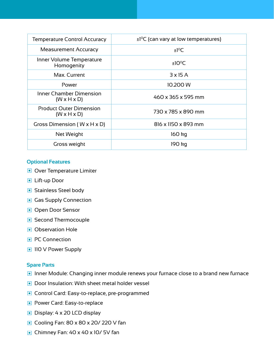| <b>Temperature Control Accuracy</b>                       | $\pm$ 1 <sup>o</sup> C (can vary at low temperatures) |  |  |
|-----------------------------------------------------------|-------------------------------------------------------|--|--|
| <b>Measurement Accuracy</b>                               | $±1^{\circ}C$                                         |  |  |
| Inner Volume Temperature<br>Homogenity                    | $±10^{\circ}$ C                                       |  |  |
| Max. Current                                              | $3 \times 15$ A                                       |  |  |
| Power                                                     | 10.200 W                                              |  |  |
| Inner Chamber Dimension<br>$(W \times H \times D)$        | 460 x 365 x 595 mm                                    |  |  |
| <b>Product Outer Dimension</b><br>$(W \times H \times D)$ | 730 x 785 x 890 mm                                    |  |  |
| Gross Dimension ( $W \times H \times D$ )                 | 816 x 1150 x 893 mm                                   |  |  |
| Net Weight                                                | 160 kg                                                |  |  |
| Gross weight                                              | 190 kg                                                |  |  |

#### **Optional Features**

- **Over Temperature Limiter**
- **D** Lift-up Door
- **•** Stainless Steel body
- Gas Supply Connection
- **Open Door Sensor**
- Second Thermocouple
- **Observation Hole**
- **PC** Connection
- **110 V Power Supply**

#### **Spare Parts**

- Inner Module: Changing inner module renews your furnace close to a brand new furnace
- **Door Insulation: With sheet metal holder vessel**
- **Control Card: Easy-to-replace, pre-programmed**
- **Power Card: Easy-to-replace**
- Display: 4 x 20 LCD display
- **Cooling Fan: 80 x 80 x 20/ 220 V fan**
- Chimney Fan: 40 x 40 x 10/ 5V fan